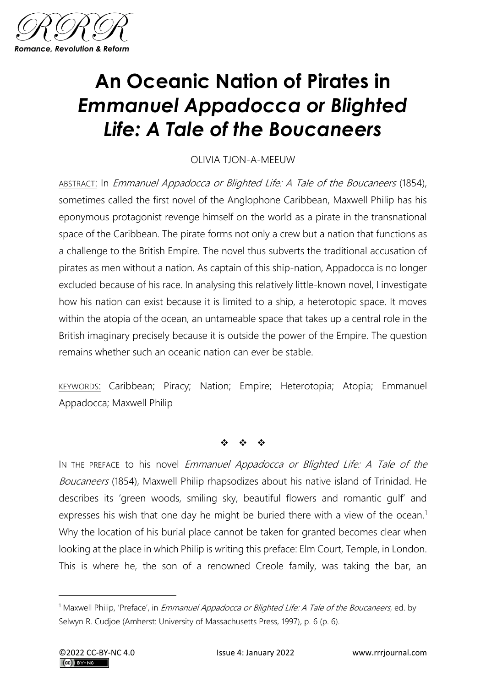

## **An Oceanic Nation of Pirates in**  *Emmanuel Appadocca or Blighted Life: A Tale of the Boucaneers*

OLIVIA TJON-A-MEEUW

ABSTRACT: In Emmanuel Appadocca or Blighted Life: A Tale of the Boucaneers (1854), sometimes called the first novel of the Anglophone Caribbean, Maxwell Philip has his eponymous protagonist revenge himself on the world as a pirate in the transnational space of the Caribbean. The pirate forms not only a crew but a nation that functions as a challenge to the British Empire. The novel thus subverts the traditional accusation of pirates as men without a nation. As captain of this ship-nation, Appadocca is no longer excluded because of his race. In analysing this relatively little-known novel, I investigate how his nation can exist because it is limited to a ship, a heterotopic space. It moves within the atopia of the ocean, an untameable space that takes up a central role in the British imaginary precisely because it is outside the power of the Empire. The question remains whether such an oceanic nation can ever be stable.

KEYWORDS: Caribbean; Piracy; Nation; Empire; Heterotopia; Atopia; Emmanuel Appadocca; Maxwell Philip

❖ ❖ ❖

IN THE PREFACE to his novel Emmanuel Appadocca or Blighted Life: A Tale of the Boucaneers (1854), Maxwell Philip rhapsodizes about his native island of Trinidad. He describes its 'green woods, smiling sky, beautiful flowers and romantic gulf' and expresses his wish that one day he might be buried there with a view of the ocean.<sup>1</sup> Why the location of his burial place cannot be taken for granted becomes clear when looking at the place in which Philip is writing this preface: Elm Court, Temple, in London. This is where he, the son of a renowned Creole family, was taking the bar, an

<sup>&</sup>lt;sup>1</sup> Maxwell Philip, 'Preface', in *Emmanuel Appadocca or Blighted Life: A Tale of the Boucaneers*, ed. by Selwyn R. Cudjoe (Amherst: University of Massachusetts Press, 1997), p. 6 (p. 6).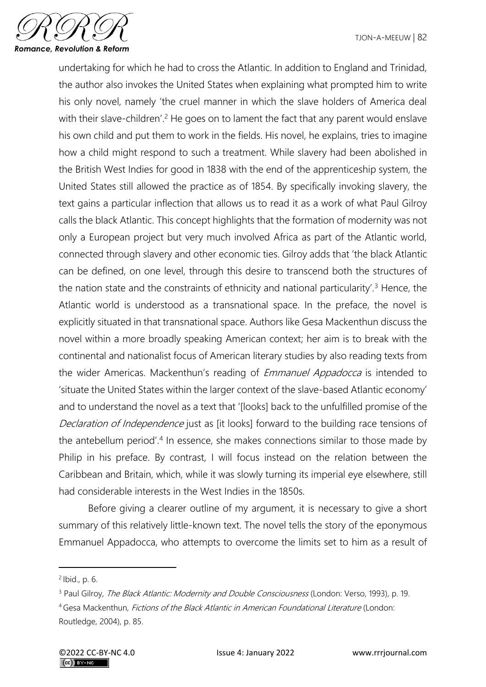

undertaking for which he had to cross the Atlantic. In addition to England and Trinidad, the author also invokes the United States when explaining what prompted him to write his only novel, namely 'the cruel manner in which the slave holders of America deal with their slave-children'.<sup>2</sup> He goes on to lament the fact that any parent would enslave his own child and put them to work in the fields. His novel, he explains, tries to imagine how a child might respond to such a treatment. While slavery had been abolished in the British West Indies for good in 1838 with the end of the apprenticeship system, the United States still allowed the practice as of 1854. By specifically invoking slavery, the text gains a particular inflection that allows us to read it as a work of what Paul Gilroy calls the black Atlantic. This concept highlights that the formation of modernity was not only a European project but very much involved Africa as part of the Atlantic world, connected through slavery and other economic ties. Gilroy adds that 'the black Atlantic can be defined, on one level, through this desire to transcend both the structures of the nation state and the constraints of ethnicity and national particularity'.<sup>3</sup> Hence, the Atlantic world is understood as a transnational space. In the preface, the novel is explicitly situated in that transnational space. Authors like Gesa Mackenthun discuss the novel within a more broadly speaking American context; her aim is to break with the continental and nationalist focus of American literary studies by also reading texts from the wider Americas. Mackenthun's reading of *Emmanuel Appadocca* is intended to 'situate the United States within the larger context of the slave-based Atlantic economy' and to understand the novel as a text that '[looks] back to the unfulfilled promise of the Declaration of Independence just as [it looks] forward to the building race tensions of the antebellum period'.<sup>4</sup> In essence, she makes connections similar to those made by Philip in his preface. By contrast, I will focus instead on the relation between the Caribbean and Britain, which, while it was slowly turning its imperial eye elsewhere, still had considerable interests in the West Indies in the 1850s.

Before giving a clearer outline of my argument, it is necessary to give a short summary of this relatively little-known text. The novel tells the story of the eponymous Emmanuel Appadocca, who attempts to overcome the limits set to him as a result of

<sup>2</sup> Ibid., p. 6.

<sup>&</sup>lt;sup>3</sup> Paul Gilroy, *The Black Atlantic: Modernity and Double Consciousness* (London: Verso, 1993), p. 19.

<sup>4</sup> Gesa Mackenthun, Fictions of the Black Atlantic in American Foundational Literature (London: Routledge, 2004), p. 85.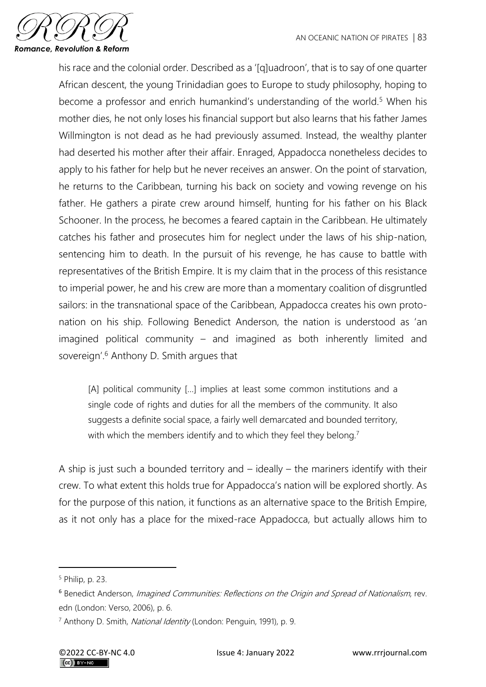

his race and the colonial order. Described as a '[q]uadroon', that is to say of one quarter African descent, the young Trinidadian goes to Europe to study philosophy, hoping to become a professor and enrich humankind's understanding of the world.<sup>5</sup> When his mother dies, he not only loses his financial support but also learns that his father James Willmington is not dead as he had previously assumed. Instead, the wealthy planter had deserted his mother after their affair. Enraged, Appadocca nonetheless decides to apply to his father for help but he never receives an answer. On the point of starvation, he returns to the Caribbean, turning his back on society and vowing revenge on his father. He gathers a pirate crew around himself, hunting for his father on his Black Schooner. In the process, he becomes a feared captain in the Caribbean. He ultimately catches his father and prosecutes him for neglect under the laws of his ship-nation, sentencing him to death. In the pursuit of his revenge, he has cause to battle with representatives of the British Empire. It is my claim that in the process of this resistance to imperial power, he and his crew are more than a momentary coalition of disgruntled sailors: in the transnational space of the Caribbean, Appadocca creates his own protonation on his ship. Following Benedict Anderson, the nation is understood as 'an imagined political community – and imagined as both inherently limited and sovereign'.<sup>6</sup> Anthony D. Smith argues that

[A] political community […] implies at least some common institutions and a single code of rights and duties for all the members of the community. It also suggests a definite social space, a fairly well demarcated and bounded territory, with which the members identify and to which they feel they belong.<sup>7</sup>

A ship is just such a bounded territory and  $-$  ideally  $-$  the mariners identify with their crew. To what extent this holds true for Appadocca's nation will be explored shortly. As for the purpose of this nation, it functions as an alternative space to the British Empire, as it not only has a place for the mixed-race Appadocca, but actually allows him to

<sup>5</sup> Philip, p. 23.

<sup>&</sup>lt;sup>6</sup> Benedict Anderson, Imagined Communities: Reflections on the Origin and Spread of Nationalism, rev. edn (London: Verso, 2006), p. 6.

<sup>&</sup>lt;sup>7</sup> Anthony D. Smith, National Identity (London: Penguin, 1991), p. 9.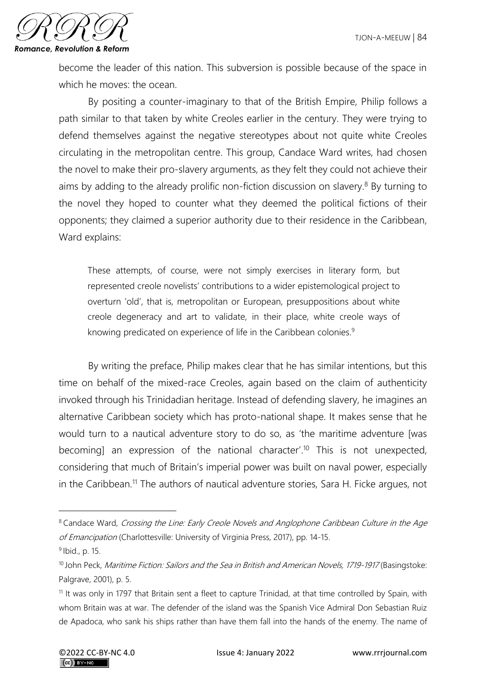

become the leader of this nation. This subversion is possible because of the space in which he moves: the ocean.

By positing a counter-imaginary to that of the British Empire, Philip follows a path similar to that taken by white Creoles earlier in the century. They were trying to defend themselves against the negative stereotypes about not quite white Creoles circulating in the metropolitan centre. This group, Candace Ward writes, had chosen the novel to make their pro-slavery arguments, as they felt they could not achieve their aims by adding to the already prolific non-fiction discussion on slavery.<sup>8</sup> By turning to the novel they hoped to counter what they deemed the political fictions of their opponents; they claimed a superior authority due to their residence in the Caribbean, Ward explains:

These attempts, of course, were not simply exercises in literary form, but represented creole novelists' contributions to a wider epistemological project to overturn 'old', that is, metropolitan or European, presuppositions about white creole degeneracy and art to validate, in their place, white creole ways of knowing predicated on experience of life in the Caribbean colonies.<sup>9</sup>

By writing the preface, Philip makes clear that he has similar intentions, but this time on behalf of the mixed-race Creoles, again based on the claim of authenticity invoked through his Trinidadian heritage. Instead of defending slavery, he imagines an alternative Caribbean society which has proto-national shape. It makes sense that he would turn to a nautical adventure story to do so, as 'the maritime adventure [was becoming] an expression of the national character'. <sup>10</sup> This is not unexpected, considering that much of Britain's imperial power was built on naval power, especially in the Caribbean.<sup>11</sup> The authors of nautical adventure stories, Sara H. Ficke argues, not

<sup>&</sup>lt;sup>8</sup> Candace Ward, Crossing the Line: Early Creole Novels and Anglophone Caribbean Culture in the Age of Emancipation (Charlottesville: University of Virginia Press, 2017), pp. 14-15.

<sup>&</sup>lt;sup>9</sup> Ibid., p. 15.

<sup>&</sup>lt;sup>10</sup> John Peck, Maritime Fiction: Sailors and the Sea in British and American Novels, 1719-1917 (Basingstoke: Palgrave, 2001), p. 5.

<sup>&</sup>lt;sup>11</sup> It was only in 1797 that Britain sent a fleet to capture Trinidad, at that time controlled by Spain, with whom Britain was at war. The defender of the island was the Spanish Vice Admiral Don Sebastian Ruiz de Apadoca, who sank his ships rather than have them fall into the hands of the enemy. The name of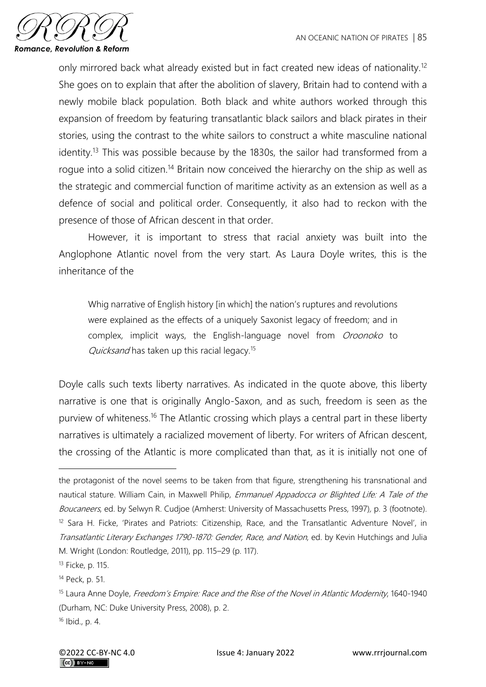

only mirrored back what already existed but in fact created new ideas of nationality.<sup>12</sup> She goes on to explain that after the abolition of slavery, Britain had to contend with a newly mobile black population. Both black and white authors worked through this expansion of freedom by featuring transatlantic black sailors and black pirates in their stories, using the contrast to the white sailors to construct a white masculine national identity.<sup>13</sup> This was possible because by the 1830s, the sailor had transformed from a roque into a solid citizen.<sup>14</sup> Britain now conceived the hierarchy on the ship as well as the strategic and commercial function of maritime activity as an extension as well as a defence of social and political order. Consequently, it also had to reckon with the presence of those of African descent in that order.

However, it is important to stress that racial anxiety was built into the Anglophone Atlantic novel from the very start. As Laura Doyle writes, this is the inheritance of the

Whig narrative of English history [in which] the nation's ruptures and revolutions were explained as the effects of a uniquely Saxonist legacy of freedom; and in complex, implicit ways, the English-language novel from Oroonoko to Quicksand has taken up this racial legacy.<sup>15</sup>

Doyle calls such texts liberty narratives. As indicated in the quote above, this liberty narrative is one that is originally Anglo-Saxon, and as such, freedom is seen as the purview of whiteness.<sup>16</sup> The Atlantic crossing which plays a central part in these liberty narratives is ultimately a racialized movement of liberty. For writers of African descent, the crossing of the Atlantic is more complicated than that, as it is initially not one of

the protagonist of the novel seems to be taken from that figure, strengthening his transnational and nautical stature. William Cain, in Maxwell Philip, Emmanuel Appadocca or Blighted Life: A Tale of the Boucaneers, ed. by Selwyn R. Cudjoe (Amherst: University of Massachusetts Press, 1997), p. 3 (footnote). <sup>12</sup> Sara H. Ficke, 'Pirates and Patriots: Citizenship, Race, and the Transatlantic Adventure Novel', in Transatlantic Literary Exchanges 1790-1870: Gender, Race, and Nation, ed. by Kevin Hutchings and Julia M. Wright (London: Routledge, 2011), pp. 115–29 (p. 117).

<sup>13</sup> Ficke, p. 115.

<sup>14</sup> Peck, p. 51.

<sup>&</sup>lt;sup>15</sup> Laura Anne Doyle, Freedom's Empire: Race and the Rise of the Novel in Atlantic Modernity, 1640-1940 (Durham, NC: Duke University Press, 2008), p. 2.

<sup>16</sup> Ibid., p. 4.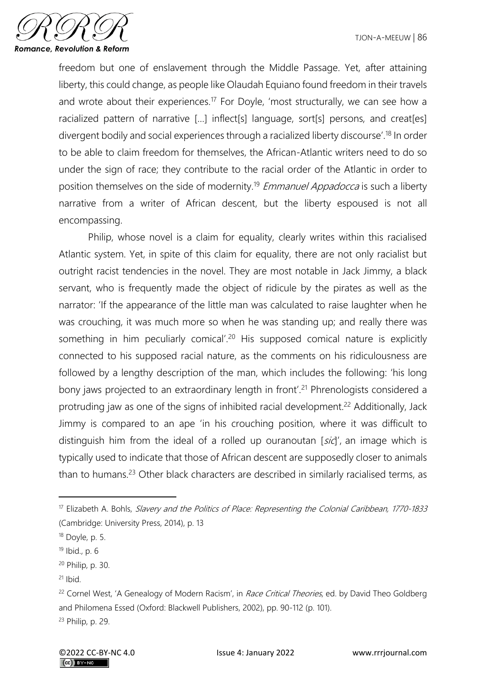

freedom but one of enslavement through the Middle Passage. Yet, after attaining liberty, this could change, as people like Olaudah Equiano found freedom in their travels and wrote about their experiences.<sup>17</sup> For Doyle, 'most structurally, we can see how a racialized pattern of narrative [...] inflect[s] language, sort[s] persons, and creat[es] divergent bodily and social experiences through a racialized liberty discourse'.<sup>18</sup> In order to be able to claim freedom for themselves, the African-Atlantic writers need to do so under the sign of race; they contribute to the racial order of the Atlantic in order to position themselves on the side of modernity.<sup>19</sup> Emmanuel Appadocca is such a liberty narrative from a writer of African descent, but the liberty espoused is not all encompassing.

Philip, whose novel is a claim for equality, clearly writes within this racialised Atlantic system. Yet, in spite of this claim for equality, there are not only racialist but outright racist tendencies in the novel. They are most notable in Jack Jimmy, a black servant, who is frequently made the object of ridicule by the pirates as well as the narrator: 'If the appearance of the little man was calculated to raise laughter when he was crouching, it was much more so when he was standing up; and really there was something in him peculiarly comical'.<sup>20</sup> His supposed comical nature is explicitly connected to his supposed racial nature, as the comments on his ridiculousness are followed by a lengthy description of the man, which includes the following: 'his long bony jaws projected to an extraordinary length in front'.<sup>21</sup> Phrenologists considered a protruding jaw as one of the signs of inhibited racial development.<sup>22</sup> Additionally, Jack Jimmy is compared to an ape 'in his crouching position, where it was difficult to distinguish him from the ideal of a rolled up ouranoutan  $[s\bar{c}t]$ , an image which is typically used to indicate that those of African descent are supposedly closer to animals than to humans.<sup>23</sup> Other black characters are described in similarly racialised terms, as

<sup>&</sup>lt;sup>17</sup> Elizabeth A. Bohls, Slavery and the Politics of Place: Representing the Colonial Caribbean, 1770-1833 (Cambridge: University Press, 2014), p. 13

<sup>18</sup> Doyle, p. 5.

<sup>19</sup> Ibid., p. 6

<sup>20</sup> Philip, p. 30.

 $21$  Ibid.

<sup>&</sup>lt;sup>22</sup> Cornel West, 'A Genealogy of Modern Racism', in Race Critical Theories, ed. by David Theo Goldberg and Philomena Essed (Oxford: Blackwell Publishers, 2002), pp. 90-112 (p. 101).

<sup>23</sup> Philip, p. 29.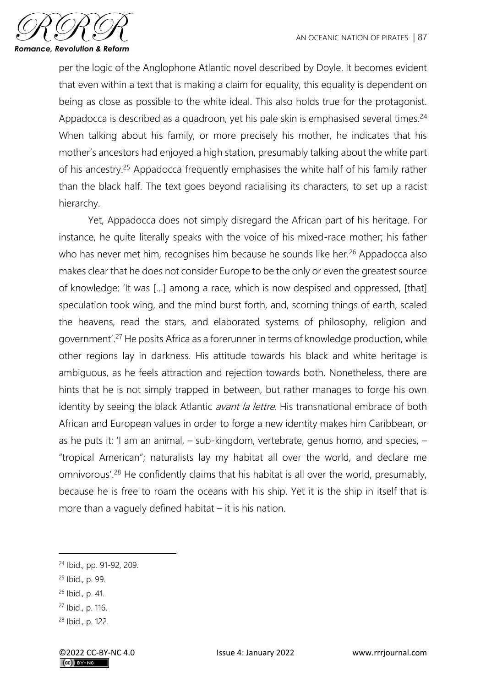

per the logic of the Anglophone Atlantic novel described by Doyle. It becomes evident that even within a text that is making a claim for equality, this equality is dependent on being as close as possible to the white ideal. This also holds true for the protagonist. Appadocca is described as a quadroon, yet his pale skin is emphasised several times.<sup>24</sup> When talking about his family, or more precisely his mother, he indicates that his mother's ancestors had enjoyed a high station, presumably talking about the white part of his ancestry.<sup>25</sup> Appadocca frequently emphasises the white half of his family rather than the black half. The text goes beyond racialising its characters, to set up a racist hierarchy.

Yet, Appadocca does not simply disregard the African part of his heritage. For instance, he quite literally speaks with the voice of his mixed-race mother; his father who has never met him, recognises him because he sounds like her.<sup>26</sup> Appadocca also makes clear that he does not consider Europe to be the only or even the greatest source of knowledge: 'It was […] among a race, which is now despised and oppressed, [that] speculation took wing, and the mind burst forth, and, scorning things of earth, scaled the heavens, read the stars, and elaborated systems of philosophy, religion and government'.<sup>27</sup> He posits Africa as a forerunner in terms of knowledge production, while other regions lay in darkness. His attitude towards his black and white heritage is ambiguous, as he feels attraction and rejection towards both. Nonetheless, there are hints that he is not simply trapped in between, but rather manages to forge his own identity by seeing the black Atlantic *avant la lettre*. His transnational embrace of both African and European values in order to forge a new identity makes him Caribbean, or as he puts it: 'I am an animal, – sub-kingdom, vertebrate, genus homo, and species, – "tropical American"; naturalists lay my habitat all over the world, and declare me omnivorous'.<sup>28</sup> He confidently claims that his habitat is all over the world, presumably, because he is free to roam the oceans with his ship. Yet it is the ship in itself that is more than a vaguely defined habitat  $-$  it is his nation.

<sup>24</sup> Ibid., pp. 91-92, 209.

<sup>25</sup> Ibid., p. 99.

<sup>26</sup> Ibid., p. 41.

<sup>27</sup> Ibid., p. 116.

<sup>28</sup> Ibid., p. 122.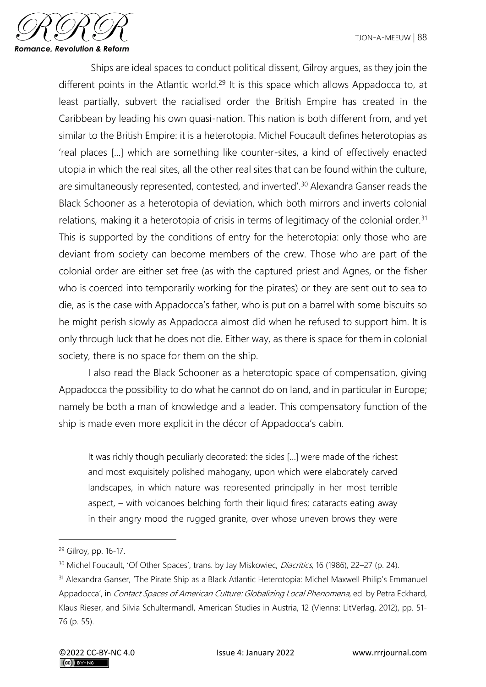

Ships are ideal spaces to conduct political dissent, Gilroy argues, as they join the different points in the Atlantic world.<sup>29</sup> It is this space which allows Appadocca to, at least partially, subvert the racialised order the British Empire has created in the Caribbean by leading his own quasi-nation. This nation is both different from, and yet similar to the British Empire: it is a heterotopia. Michel Foucault defines heterotopias as 'real places [...] which are something like counter-sites, a kind of effectively enacted utopia in which the real sites, all the other real sites that can be found within the culture, are simultaneously represented, contested, and inverted'.<sup>30</sup> Alexandra Ganser reads the Black Schooner as a heterotopia of deviation, which both mirrors and inverts colonial relations, making it a heterotopia of crisis in terms of legitimacy of the colonial order.<sup>31</sup> This is supported by the conditions of entry for the heterotopia: only those who are deviant from society can become members of the crew. Those who are part of the colonial order are either set free (as with the captured priest and Agnes, or the fisher who is coerced into temporarily working for the pirates) or they are sent out to sea to die, as is the case with Appadocca's father, who is put on a barrel with some biscuits so he might perish slowly as Appadocca almost did when he refused to support him. It is only through luck that he does not die. Either way, as there is space for them in colonial society, there is no space for them on the ship.

I also read the Black Schooner as a heterotopic space of compensation, giving Appadocca the possibility to do what he cannot do on land, and in particular in Europe; namely be both a man of knowledge and a leader. This compensatory function of the ship is made even more explicit in the décor of Appadocca's cabin.

It was richly though peculiarly decorated: the sides […] were made of the richest and most exquisitely polished mahogany, upon which were elaborately carved landscapes, in which nature was represented principally in her most terrible aspect, – with volcanoes belching forth their liquid fires; cataracts eating away in their angry mood the rugged granite, over whose uneven brows they were

<sup>29</sup> Gilroy, pp. 16-17.

<sup>&</sup>lt;sup>30</sup> Michel Foucault, 'Of Other Spaces', trans. by Jay Miskowiec, *Diacritics*, 16 (1986), 22–27 (p. 24).

<sup>31</sup> Alexandra Ganser, 'The Pirate Ship as a Black Atlantic Heterotopia: Michel Maxwell Philip's Emmanuel Appadocca', in Contact Spaces of American Culture: Globalizing Local Phenomena, ed. by Petra Eckhard, Klaus Rieser, and Silvia Schultermandl, American Studies in Austria, 12 (Vienna: LitVerlag, 2012), pp. 51- 76 (p. 55).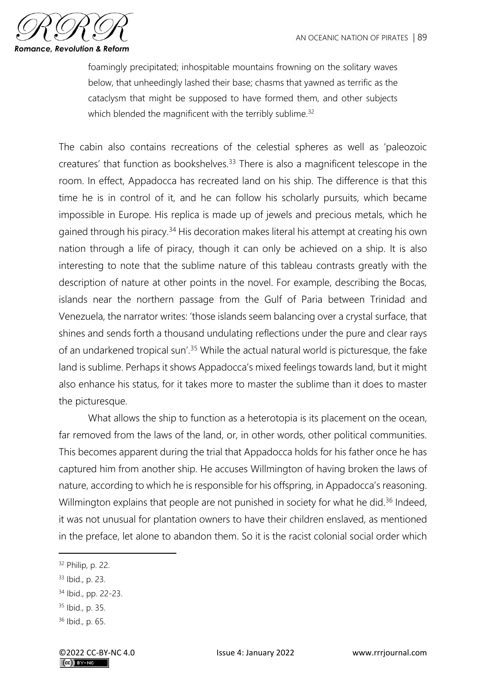

foamingly precipitated; inhospitable mountains frowning on the solitary waves below, that unheedingly lashed their base; chasms that yawned as terrific as the cataclysm that might be supposed to have formed them, and other subjects which blended the magnificent with the terribly sublime.<sup>32</sup>

The cabin also contains recreations of the celestial spheres as well as 'paleozoic creatures' that function as bookshelves.<sup>33</sup> There is also a magnificent telescope in the room. In effect, Appadocca has recreated land on his ship. The difference is that this time he is in control of it, and he can follow his scholarly pursuits, which became impossible in Europe. His replica is made up of jewels and precious metals, which he gained through his piracy.<sup>34</sup> His decoration makes literal his attempt at creating his own nation through a life of piracy, though it can only be achieved on a ship. It is also interesting to note that the sublime nature of this tableau contrasts greatly with the description of nature at other points in the novel. For example, describing the Bocas, islands near the northern passage from the Gulf of Paria between Trinidad and Venezuela, the narrator writes: 'those islands seem balancing over a crystal surface, that shines and sends forth a thousand undulating reflections under the pure and clear rays of an undarkened tropical sun'.<sup>35</sup> While the actual natural world is picturesque, the fake land is sublime. Perhaps it shows Appadocca's mixed feelings towards land, but it might also enhance his status, for it takes more to master the sublime than it does to master the picturesque.

What allows the ship to function as a heterotopia is its placement on the ocean, far removed from the laws of the land, or, in other words, other political communities. This becomes apparent during the trial that Appadocca holds for his father once he has captured him from another ship. He accuses Willmington of having broken the laws of nature, according to which he is responsible for his offspring, in Appadocca's reasoning. Willmington explains that people are not punished in society for what he did.<sup>36</sup> Indeed, it was not unusual for plantation owners to have their children enslaved, as mentioned in the preface, let alone to abandon them. So it is the racist colonial social order which

<sup>32</sup> Philip, p. 22.

<sup>33</sup> Ibid., p. 23.

<sup>34</sup> Ibid., pp. 22-23.

<sup>35</sup> Ibid., p. 35.

<sup>36</sup> Ibid., p. 65.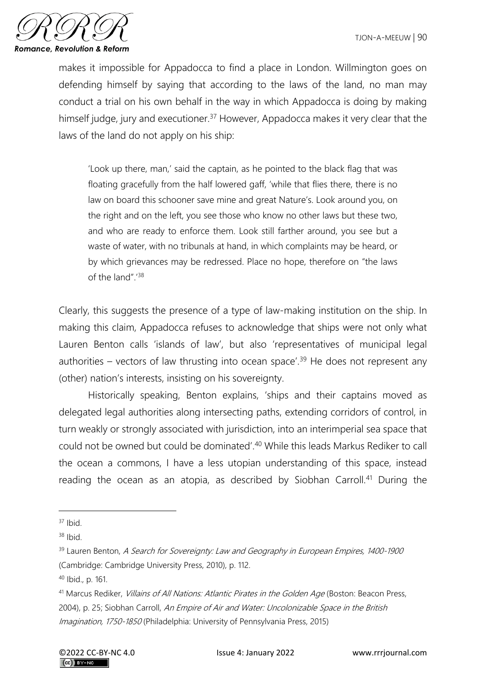

makes it impossible for Appadocca to find a place in London. Willmington goes on defending himself by saying that according to the laws of the land, no man may conduct a trial on his own behalf in the way in which Appadocca is doing by making himself judge, jury and executioner.<sup>37</sup> However, Appadocca makes it very clear that the laws of the land do not apply on his ship:

'Look up there, man,' said the captain, as he pointed to the black flag that was floating gracefully from the half lowered gaff, 'while that flies there, there is no law on board this schooner save mine and great Nature's. Look around you, on the right and on the left, you see those who know no other laws but these two, and who are ready to enforce them. Look still farther around, you see but a waste of water, with no tribunals at hand, in which complaints may be heard, or by which grievances may be redressed. Place no hope, therefore on "the laws of the land".'<sup>38</sup>

Clearly, this suggests the presence of a type of law-making institution on the ship. In making this claim, Appadocca refuses to acknowledge that ships were not only what Lauren Benton calls 'islands of law', but also 'representatives of municipal legal authorities – vectors of law thrusting into ocean space<sup>'39</sup> He does not represent any (other) nation's interests, insisting on his sovereignty.

Historically speaking, Benton explains, 'ships and their captains moved as delegated legal authorities along intersecting paths, extending corridors of control, in turn weakly or strongly associated with jurisdiction, into an interimperial sea space that could not be owned but could be dominated'.<sup>40</sup> While this leads Markus Rediker to call the ocean a commons, I have a less utopian understanding of this space, instead reading the ocean as an atopia, as described by Siobhan Carroll.<sup>41</sup> During the

<sup>40</sup> Ibid., p. 161.

 $37$  Ibid.

 $38$  Ibid.

<sup>&</sup>lt;sup>39</sup> Lauren Benton, A Search for Sovereignty: Law and Geography in European Empires, 1400-1900 (Cambridge: Cambridge University Press, 2010), p. 112.

<sup>&</sup>lt;sup>41</sup> Marcus Rediker, *Villains of All Nations: Atlantic Pirates in the Golden Age* (Boston: Beacon Press, 2004), p. 25; Siobhan Carroll, An Empire of Air and Water: Uncolonizable Space in the British Imagination, 1750-1850 (Philadelphia: University of Pennsylvania Press, 2015)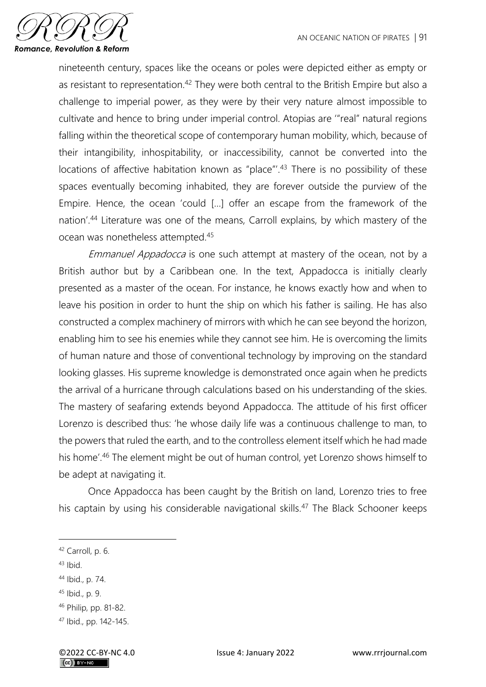

nineteenth century, spaces like the oceans or poles were depicted either as empty or as resistant to representation.<sup>42</sup> They were both central to the British Empire but also a challenge to imperial power, as they were by their very nature almost impossible to cultivate and hence to bring under imperial control. Atopias are '"real" natural regions falling within the theoretical scope of contemporary human mobility, which, because of their intangibility, inhospitability, or inaccessibility, cannot be converted into the locations of affective habitation known as "place"<sup>'</sup>.<sup>43</sup> There is no possibility of these spaces eventually becoming inhabited, they are forever outside the purview of the Empire. Hence, the ocean 'could […] offer an escape from the framework of the nation'.<sup>44</sup> Literature was one of the means, Carroll explains, by which mastery of the ocean was nonetheless attempted.<sup>45</sup>

Emmanuel Appadocca is one such attempt at mastery of the ocean, not by a British author but by a Caribbean one. In the text, Appadocca is initially clearly presented as a master of the ocean. For instance, he knows exactly how and when to leave his position in order to hunt the ship on which his father is sailing. He has also constructed a complex machinery of mirrors with which he can see beyond the horizon, enabling him to see his enemies while they cannot see him. He is overcoming the limits of human nature and those of conventional technology by improving on the standard looking glasses. His supreme knowledge is demonstrated once again when he predicts the arrival of a hurricane through calculations based on his understanding of the skies. The mastery of seafaring extends beyond Appadocca. The attitude of his first officer Lorenzo is described thus: 'he whose daily life was a continuous challenge to man, to the powers that ruled the earth, and to the controlless element itself which he had made his home'.<sup>46</sup> The element might be out of human control, yet Lorenzo shows himself to be adept at navigating it.

Once Appadocca has been caught by the British on land, Lorenzo tries to free his captain by using his considerable navigational skills.<sup>47</sup> The Black Schooner keeps

 $43$  Ibid.

- <sup>45</sup> Ibid., p. 9.
- <sup>46</sup> Philip, pp. 81-82.

<sup>42</sup> Carroll, p. 6.

<sup>44</sup> Ibid., p. 74.

<sup>47</sup> Ibid., pp. 142-145.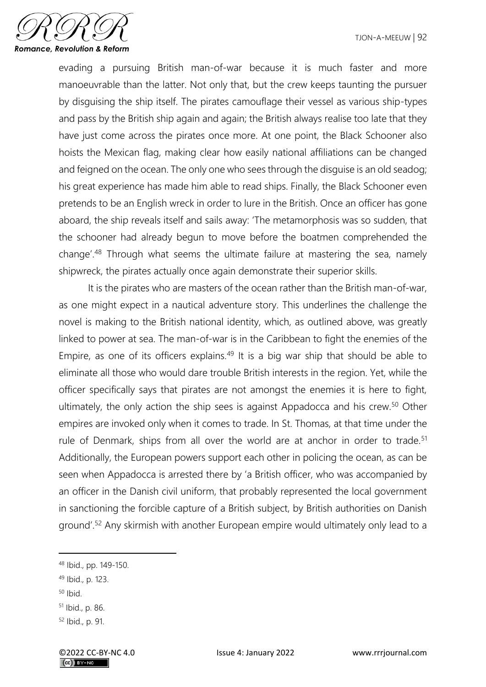

evading a pursuing British man-of-war because it is much faster and more manoeuvrable than the latter. Not only that, but the crew keeps taunting the pursuer by disguising the ship itself. The pirates camouflage their vessel as various ship-types and pass by the British ship again and again; the British always realise too late that they have just come across the pirates once more. At one point, the Black Schooner also hoists the Mexican flag, making clear how easily national affiliations can be changed and feigned on the ocean. The only one who sees through the disguise is an old seadog; his great experience has made him able to read ships. Finally, the Black Schooner even pretends to be an English wreck in order to lure in the British. Once an officer has gone aboard, the ship reveals itself and sails away: 'The metamorphosis was so sudden, that the schooner had already begun to move before the boatmen comprehended the change'.<sup>48</sup> Through what seems the ultimate failure at mastering the sea, namely shipwreck, the pirates actually once again demonstrate their superior skills.

It is the pirates who are masters of the ocean rather than the British man-of-war, as one might expect in a nautical adventure story. This underlines the challenge the novel is making to the British national identity, which, as outlined above, was greatly linked to power at sea. The man-of-war is in the Caribbean to fight the enemies of the Empire, as one of its officers explains.<sup>49</sup> It is a big war ship that should be able to eliminate all those who would dare trouble British interests in the region. Yet, while the officer specifically says that pirates are not amongst the enemies it is here to fight, ultimately, the only action the ship sees is against Appadocca and his crew.<sup>50</sup> Other empires are invoked only when it comes to trade. In St. Thomas, at that time under the rule of Denmark, ships from all over the world are at anchor in order to trade.<sup>51</sup> Additionally, the European powers support each other in policing the ocean, as can be seen when Appadocca is arrested there by 'a British officer, who was accompanied by an officer in the Danish civil uniform, that probably represented the local government in sanctioning the forcible capture of a British subject, by British authorities on Danish ground'.<sup>52</sup> Any skirmish with another European empire would ultimately only lead to a

 $50$  Ibid.

<sup>48</sup> Ibid., pp. 149-150.

<sup>49</sup> Ibid., p. 123.

<sup>51</sup> Ibid., p. 86.

<sup>52</sup> Ibid., p. 91.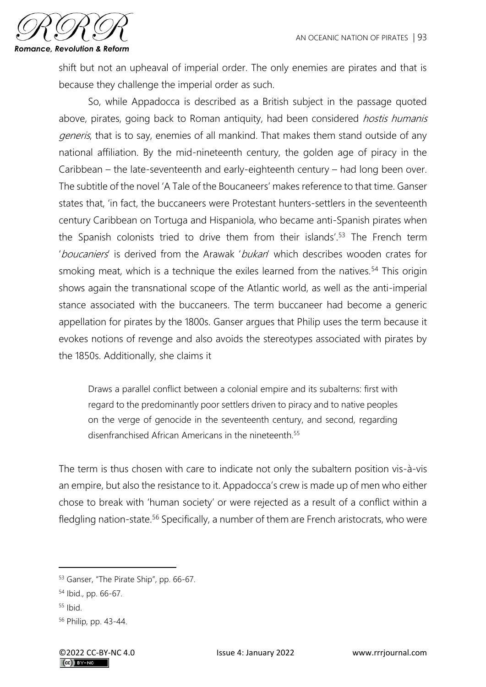

shift but not an upheaval of imperial order. The only enemies are pirates and that is because they challenge the imperial order as such.

So, while Appadocca is described as a British subject in the passage quoted above, pirates, going back to Roman antiquity, had been considered *hostis humanis* generis, that is to say, enemies of all mankind. That makes them stand outside of any national affiliation. By the mid-nineteenth century, the golden age of piracy in the Caribbean – the late-seventeenth and early-eighteenth century – had long been over. The subtitle of the novel 'A Tale of the Boucaneers' makes reference to that time. Ganser states that, 'in fact, the buccaneers were Protestant hunters-settlers in the seventeenth century Caribbean on Tortuga and Hispaniola, who became anti-Spanish pirates when the Spanish colonists tried to drive them from their islands'.<sup>53</sup> The French term 'boucaniers' is derived from the Arawak 'bukan' which describes wooden crates for smoking meat, which is a technique the exiles learned from the natives.<sup>54</sup> This origin shows again the transnational scope of the Atlantic world, as well as the anti-imperial stance associated with the buccaneers. The term buccaneer had become a generic appellation for pirates by the 1800s. Ganser argues that Philip uses the term because it evokes notions of revenge and also avoids the stereotypes associated with pirates by the 1850s. Additionally, she claims it

Draws a parallel conflict between a colonial empire and its subalterns: first with regard to the predominantly poor settlers driven to piracy and to native peoples on the verge of genocide in the seventeenth century, and second, regarding disenfranchised African Americans in the nineteenth  $55$ 

The term is thus chosen with care to indicate not only the subaltern position vis-à-vis an empire, but also the resistance to it. Appadocca's crew is made up of men who either chose to break with 'human society' or were rejected as a result of a conflict within a fledgling nation-state.<sup>56</sup> Specifically, a number of them are French aristocrats, who were

<sup>53</sup> Ganser, "The Pirate Ship", pp. 66-67.

<sup>54</sup> Ibid., pp. 66-67.

 $55$  Ibid.

<sup>56</sup> Philip, pp. 43-44.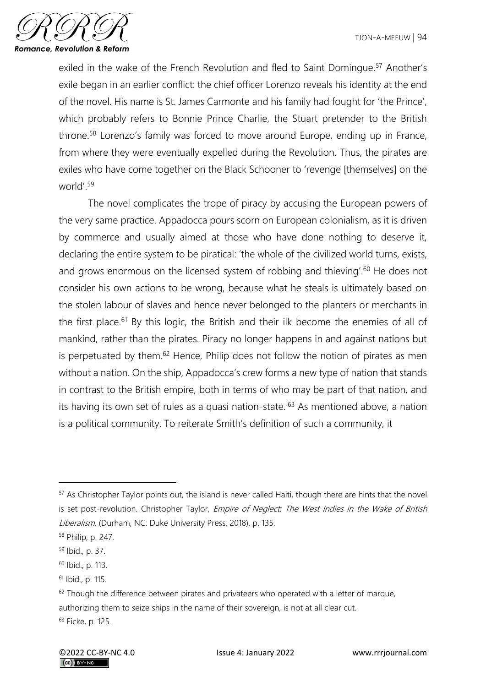

exiled in the wake of the French Revolution and fled to Saint Domingue.<sup>57</sup> Another's exile began in an earlier conflict: the chief officer Lorenzo reveals his identity at the end of the novel. His name is St. James Carmonte and his family had fought for 'the Prince', which probably refers to Bonnie Prince Charlie, the Stuart pretender to the British throne.<sup>58</sup> Lorenzo's family was forced to move around Europe, ending up in France, from where they were eventually expelled during the Revolution. Thus, the pirates are exiles who have come together on the Black Schooner to 'revenge [themselves] on the world'<sup>59</sup>

The novel complicates the trope of piracy by accusing the European powers of the very same practice. Appadocca pours scorn on European colonialism, as it is driven by commerce and usually aimed at those who have done nothing to deserve it, declaring the entire system to be piratical: 'the whole of the civilized world turns, exists, and grows enormous on the licensed system of robbing and thieving'.<sup>60</sup> He does not consider his own actions to be wrong, because what he steals is ultimately based on the stolen labour of slaves and hence never belonged to the planters or merchants in the first place.<sup>61</sup> By this logic, the British and their ilk become the enemies of all of mankind, rather than the pirates. Piracy no longer happens in and against nations but is perpetuated by them. $62$  Hence, Philip does not follow the notion of pirates as men without a nation. On the ship, Appadocca's crew forms a new type of nation that stands in contrast to the British empire, both in terms of who may be part of that nation, and its having its own set of rules as a quasi nation-state. <sup>63</sup> As mentioned above, a nation is a political community. To reiterate Smith's definition of such a community, it

<sup>&</sup>lt;sup>57</sup> As Christopher Taylor points out, the island is never called Haiti, though there are hints that the novel is set post-revolution. Christopher Taylor, Empire of Neglect: The West Indies in the Wake of British Liberalism, (Durham, NC: Duke University Press, 2018), p. 135.

<sup>58</sup> Philip, p. 247.

<sup>59</sup> Ibid., p. 37.

<sup>60</sup> Ibid., p. 113.

<sup>61</sup> Ibid., p. 115.

 $62$  Though the difference between pirates and privateers who operated with a letter of marque, authorizing them to seize ships in the name of their sovereign, is not at all clear cut. <sup>63</sup> Ficke, p. 125.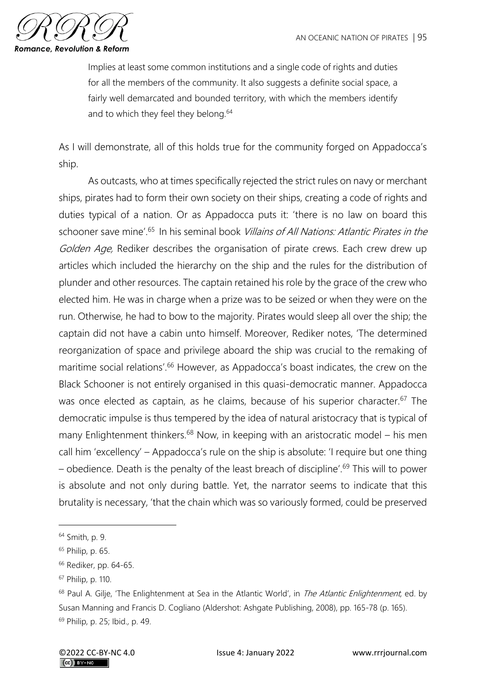

Implies at least some common institutions and a single code of rights and duties for all the members of the community. It also suggests a definite social space, a fairly well demarcated and bounded territory, with which the members identify and to which they feel they belong.<sup>64</sup>

As I will demonstrate, all of this holds true for the community forged on Appadocca's ship.

As outcasts, who at times specifically rejected the strict rules on navy or merchant ships, pirates had to form their own society on their ships, creating a code of rights and duties typical of a nation. Or as Appadocca puts it: 'there is no law on board this schooner save mine<sup>'.65</sup> In his seminal book Villains of All Nations: Atlantic Pirates in the Golden Age, Rediker describes the organisation of pirate crews. Each crew drew up articles which included the hierarchy on the ship and the rules for the distribution of plunder and other resources. The captain retained his role by the grace of the crew who elected him. He was in charge when a prize was to be seized or when they were on the run. Otherwise, he had to bow to the majority. Pirates would sleep all over the ship; the captain did not have a cabin unto himself. Moreover, Rediker notes, 'The determined reorganization of space and privilege aboard the ship was crucial to the remaking of maritime social relations'.<sup>66</sup> However, as Appadocca's boast indicates, the crew on the Black Schooner is not entirely organised in this quasi-democratic manner. Appadocca was once elected as captain, as he claims, because of his superior character.<sup>67</sup> The democratic impulse is thus tempered by the idea of natural aristocracy that is typical of many Enlightenment thinkers.<sup>68</sup> Now, in keeping with an aristocratic model – his men call him 'excellency' – Appadocca's rule on the ship is absolute: 'I require but one thing – obedience. Death is the penalty of the least breach of discipline'.<sup>69</sup> This will to power is absolute and not only during battle. Yet, the narrator seems to indicate that this brutality is necessary, 'that the chain which was so variously formed, could be preserved

<sup>64</sup> Smith, p. 9.

<sup>65</sup> Philip, p. 65.

<sup>&</sup>lt;sup>66</sup> Rediker, pp. 64-65.

<sup>67</sup> Philip, p. 110.

<sup>&</sup>lt;sup>68</sup> Paul A. Gilje, 'The Enlightenment at Sea in the Atlantic World', in *The Atlantic Enlightenment*, ed. by Susan Manning and Francis D. Cogliano (Aldershot: Ashgate Publishing, 2008), pp. 165-78 (p. 165). <sup>69</sup> Philip, p. 25; Ibid., p. 49.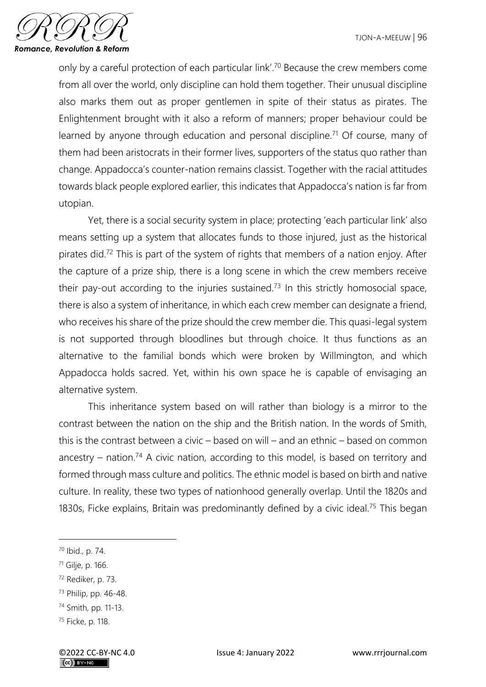

only by a careful protection of each particular link'.<sup>70</sup> Because the crew members come from all over the world, only discipline can hold them together. Their unusual discipline also marks them out as proper gentlemen in spite of their status as pirates. The Enlightenment brought with it also a reform of manners; proper behaviour could be learned by anyone through education and personal discipline.<sup>71</sup> Of course, many of them had been aristocrats in their former lives, supporters of the status quo rather than change. Appadocca's counter-nation remains classist. Together with the racial attitudes towards black people explored earlier, this indicates that Appadocca's nation is far from utopian.

Yet, there is a social security system in place; protecting 'each particular link' also means setting up a system that allocates funds to those injured, just as the historical pirates did.<sup>72</sup> This is part of the system of rights that members of a nation enjoy. After the capture of a prize ship, there is a long scene in which the crew members receive their pay-out according to the injuries sustained.<sup>73</sup> In this strictly homosocial space, there is also a system of inheritance, in which each crew member can designate a friend, who receives his share of the prize should the crew member die. This quasi-legal system is not supported through bloodlines but through choice. It thus functions as an alternative to the familial bonds which were broken by Willmington, and which Appadocca holds sacred. Yet, within his own space he is capable of envisaging an alternative system.

This inheritance system based on will rather than biology is a mirror to the contrast between the nation on the ship and the British nation. In the words of Smith, this is the contrast between a civic – based on will – and an ethnic – based on common ancestry – nation.<sup>74</sup> A civic nation, according to this model, is based on territory and formed through mass culture and politics. The ethnic model is based on birth and native culture. In reality, these two types of nationhood generally overlap. Until the 1820s and 1830s, Ficke explains, Britain was predominantly defined by a civic ideal.<sup>75</sup> This began

<sup>72</sup> Rediker, p. 73.

<sup>70</sup> Ibid., p. 74.

<sup>71</sup> Gilje, p. 166.

<sup>73</sup> Philip, pp. 46-48.

<sup>74</sup> Smith, pp. 11-13.

<sup>75</sup> Ficke, p. 118.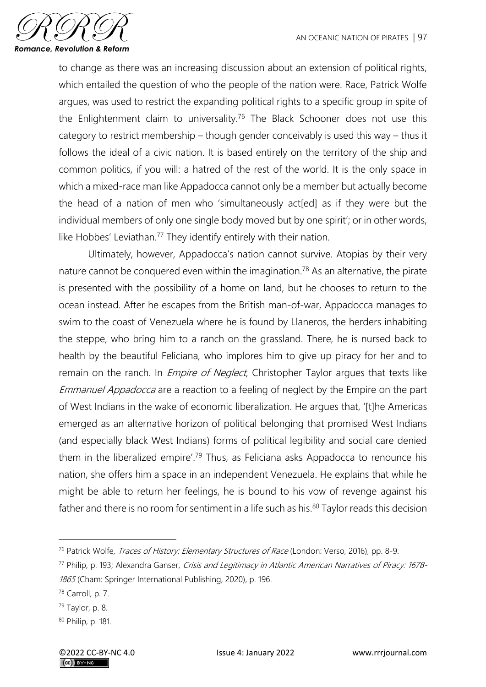

to change as there was an increasing discussion about an extension of political rights, which entailed the question of who the people of the nation were. Race, Patrick Wolfe argues, was used to restrict the expanding political rights to a specific group in spite of the Enlightenment claim to universality.<sup>76</sup> The Black Schooner does not use this category to restrict membership – though gender conceivably is used this way – thus it follows the ideal of a civic nation. It is based entirely on the territory of the ship and common politics, if you will: a hatred of the rest of the world. It is the only space in which a mixed-race man like Appadocca cannot only be a member but actually become the head of a nation of men who 'simultaneously act[ed] as if they were but the individual members of only one single body moved but by one spirit'; or in other words, like Hobbes' Leviathan.<sup>77</sup> They identify entirely with their nation.

Ultimately, however, Appadocca's nation cannot survive. Atopias by their very nature cannot be conquered even within the imagination.<sup>78</sup> As an alternative, the pirate is presented with the possibility of a home on land, but he chooses to return to the ocean instead. After he escapes from the British man-of-war, Appadocca manages to swim to the coast of Venezuela where he is found by Llaneros, the herders inhabiting the steppe, who bring him to a ranch on the grassland. There, he is nursed back to health by the beautiful Feliciana, who implores him to give up piracy for her and to remain on the ranch. In *Empire of Neglect*, Christopher Taylor argues that texts like Emmanuel Appadocca are a reaction to a feeling of neglect by the Empire on the part of West Indians in the wake of economic liberalization. He argues that, '[t]he Americas emerged as an alternative horizon of political belonging that promised West Indians (and especially black West Indians) forms of political legibility and social care denied them in the liberalized empire'.<sup>79</sup> Thus, as Feliciana asks Appadocca to renounce his nation, she offers him a space in an independent Venezuela. He explains that while he might be able to return her feelings, he is bound to his vow of revenge against his father and there is no room for sentiment in a life such as his. $80$  Taylor reads this decision

<sup>76</sup> Patrick Wolfe, Traces of History: Elementary Structures of Race (London: Verso, 2016), pp. 8-9.

<sup>77</sup> Philip, p. 193; Alexandra Ganser, Crisis and Legitimacy in Atlantic American Narratives of Piracy: 1678- 1865 (Cham: Springer International Publishing, 2020), p. 196.

<sup>78</sup> Carroll, p. 7.

 $79$  Taylor, p. 8.

<sup>80</sup> Philip, p. 181.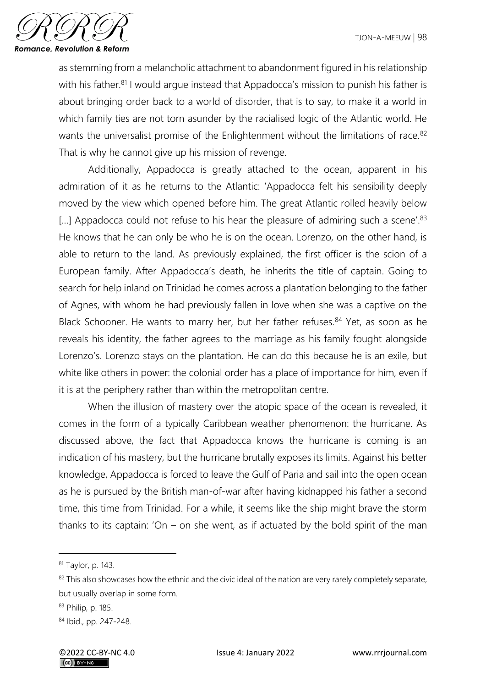

as stemming from a melancholic attachment to abandonment figured in his relationship with his father.<sup>81</sup> I would argue instead that Appadocca's mission to punish his father is about bringing order back to a world of disorder, that is to say, to make it a world in which family ties are not torn asunder by the racialised logic of the Atlantic world. He wants the universalist promise of the Enlightenment without the limitations of race.<sup>82</sup> That is why he cannot give up his mission of revenge.

Additionally, Appadocca is greatly attached to the ocean, apparent in his admiration of it as he returns to the Atlantic: 'Appadocca felt his sensibility deeply moved by the view which opened before him. The great Atlantic rolled heavily below [...] Appadocca could not refuse to his hear the pleasure of admiring such a scene'.<sup>83</sup> He knows that he can only be who he is on the ocean. Lorenzo, on the other hand, is able to return to the land. As previously explained, the first officer is the scion of a European family. After Appadocca's death, he inherits the title of captain. Going to search for help inland on Trinidad he comes across a plantation belonging to the father of Agnes, with whom he had previously fallen in love when she was a captive on the Black Schooner. He wants to marry her, but her father refuses.<sup>84</sup> Yet, as soon as he reveals his identity, the father agrees to the marriage as his family fought alongside Lorenzo's. Lorenzo stays on the plantation. He can do this because he is an exile, but white like others in power: the colonial order has a place of importance for him, even if it is at the periphery rather than within the metropolitan centre.

When the illusion of mastery over the atopic space of the ocean is revealed, it comes in the form of a typically Caribbean weather phenomenon: the hurricane. As discussed above, the fact that Appadocca knows the hurricane is coming is an indication of his mastery, but the hurricane brutally exposes its limits. Against his better knowledge, Appadocca is forced to leave the Gulf of Paria and sail into the open ocean as he is pursued by the British man-of-war after having kidnapped his father a second time, this time from Trinidad. For a while, it seems like the ship might brave the storm thanks to its captain: 'On – on she went, as if actuated by the bold spirit of the man

<sup>81</sup> Taylor, p. 143.

<sup>&</sup>lt;sup>82</sup> This also showcases how the ethnic and the civic ideal of the nation are very rarely completely separate, but usually overlap in some form.

<sup>83</sup> Philip, p. 185.

<sup>84</sup> Ibid., pp. 247-248.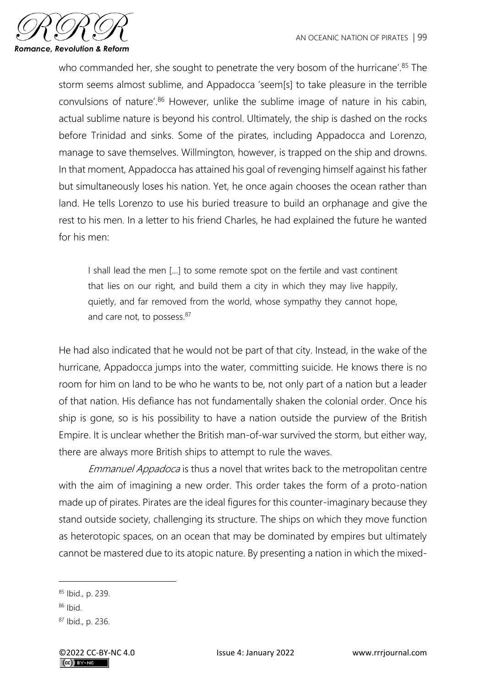

who commanded her, she sought to penetrate the very bosom of the hurricane'.<sup>85</sup> The storm seems almost sublime, and Appadocca 'seem[s] to take pleasure in the terrible convulsions of nature'.<sup>86</sup> However, unlike the sublime image of nature in his cabin, actual sublime nature is beyond his control. Ultimately, the ship is dashed on the rocks before Trinidad and sinks. Some of the pirates, including Appadocca and Lorenzo, manage to save themselves. Willmington, however, is trapped on the ship and drowns. In that moment, Appadocca has attained his goal of revenging himself against his father but simultaneously loses his nation. Yet, he once again chooses the ocean rather than land. He tells Lorenzo to use his buried treasure to build an orphanage and give the rest to his men. In a letter to his friend Charles, he had explained the future he wanted for his men:

I shall lead the men […] to some remote spot on the fertile and vast continent that lies on our right, and build them a city in which they may live happily, quietly, and far removed from the world, whose sympathy they cannot hope, and care not, to possess.<sup>87</sup>

He had also indicated that he would not be part of that city. Instead, in the wake of the hurricane, Appadocca jumps into the water, committing suicide. He knows there is no room for him on land to be who he wants to be, not only part of a nation but a leader of that nation. His defiance has not fundamentally shaken the colonial order. Once his ship is gone, so is his possibility to have a nation outside the purview of the British Empire. It is unclear whether the British man-of-war survived the storm, but either way, there are always more British ships to attempt to rule the waves.

Emmanuel Appadoca is thus a novel that writes back to the metropolitan centre with the aim of imagining a new order. This order takes the form of a proto-nation made up of pirates. Pirates are the ideal figures for this counter-imaginary because they stand outside society, challenging its structure. The ships on which they move function as heterotopic spaces, on an ocean that may be dominated by empires but ultimately cannot be mastered due to its atopic nature. By presenting a nation in which the mixed-

<sup>85</sup> Ibid., p. 239.

 $86$  Ibid.

<sup>87</sup> Ibid., p. 236.